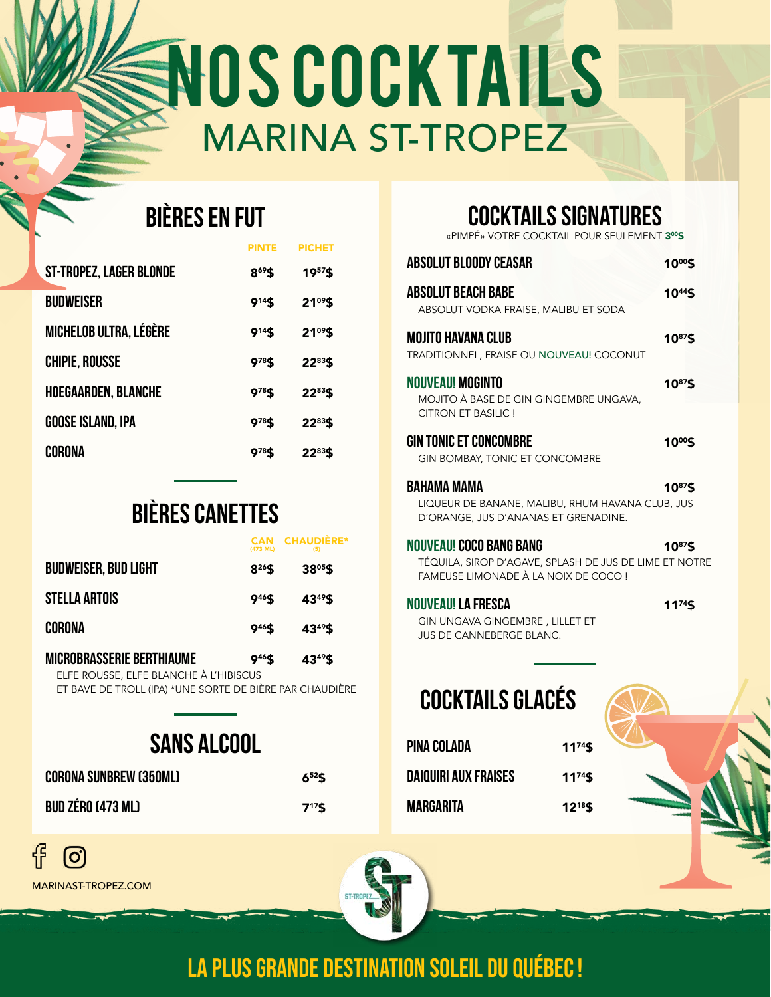# NOS COCKTAILS MARINA ST-TROPEZ

# **BIÈRES EN FUT**

|                            | PINTF        | PICHET       |  |
|----------------------------|--------------|--------------|--|
| ST-TROPEZ, LAGER BLONDE    | 869\$        | 1957\$       |  |
| <b>BUDWEISER</b>           | 914\$        | $21^{09}$ \$ |  |
| MICHELOB ULTRA, LÉGÈRE     | 914\$        | $21^{09}$ \$ |  |
| <b>CHIPIE, ROUSSE</b>      | 978\$        | 2283\$       |  |
| <b>HOEGAARDEN, BLANCHE</b> | 978\$        | 2283\$       |  |
| GOOSE ISLAND, IPA          | <b>978\$</b> | 2283\$       |  |
| CORONA                     | 978S         | 2283\$       |  |

# **BIÈRES canettes**

|                                        | (473 ML)           | <b>CHAUDIERE*</b><br>(5) |
|----------------------------------------|--------------------|--------------------------|
| <b>BUDWEISER, BUD LIGHT</b>            | $8^{26}$ \$        | $38^{05}$ \$             |
| <b>STELLA ARTOIS</b>                   | 9 <sup>46</sup> \$ | 43 <sup>49</sup> \$      |
| CORONA                                 | 9 <sup>46</sup> \$ | 43 <sup>49</sup> \$      |
| <b>MICROBRASSERIE BERTHIAUME</b>       | 9 <sup>46</sup> \$ | 43 <sup>49</sup> \$      |
| ELFE ROUSSE, ELFE BLANCHE À L'HIBISCUS |                    |                          |

ET BAVE DE TROLL (IPA) \*UNE SORTE DE BIÈRE PAR CHAUDIÈRE

# **sans alcool**

| <b>CORONA SUNBREW (350ML)</b> | $6^{52}$ \$ |
|-------------------------------|-------------|
| <b>BUD ZÉRO (473 ML)</b>      | $7^{17}$ \$ |

## **cocktails signatures**

«PIMPÉ» VOTRE COCKTAIL POUR SEULEMENT 3<sup>00</sup>\$

| <b>ABSOLUT BLOODY CEASAR</b>                                                                                              | 10º%         |
|---------------------------------------------------------------------------------------------------------------------------|--------------|
| <b>ABSOLUT BEACH BABE</b><br>ABSOLUT VODKA FRAISE, MALIBU ET SODA                                                         | 1044\$       |
| <b>MOJITO HAVANA CLUB</b><br>TRADITIONNEL, FRAISE OU NOUVEAU! COCONUT                                                     | 1087\$       |
| <b>NOUVEAU! MOGINTO</b><br>MOJITO À BASE DE GIN GINGEMBRE UNGAVA,<br>CITRON ET BASILIC !                                  | 10°'S        |
| <b>GIN TONIC ET CONCOMBRE</b><br><b>GIN BOMBAY, TONIC ET CONCOMBRE</b>                                                    | 10º%         |
| <b>BAHAMA MAMA</b><br>LIQUEUR DE BANANE, MALIBU, RHUM HAVANA CLUB, JUS<br>D'ORANGE, JUS D'ANANAS ET GRENADINE.            | 1087\$       |
| NOUVEAU! COCO BANG BANG<br>TÉQUILA, SIROP D'AGAVE, SPLASH DE JUS DE LIME ET NOTRE<br>FAMEUSE LIMONADE À LA NOIX DE COCO ! | $10^{87}$ \$ |

# **NOUVEAU! LA FRESCA** 1174\$

GIN UNGAVA GINGEMBRE , LILLET ET JUS DE CANNEBERGE BLANC.

# **cocktails glacés**

| PINA COLADA          | $11^{74}$ \$ |
|----------------------|--------------|
| DAIQUIRI AUX FRAISES | $11^{74}$ \$ |
| MARGARITA            | $12^{18}$ \$ |





MARINAST-TROPEZ.COM